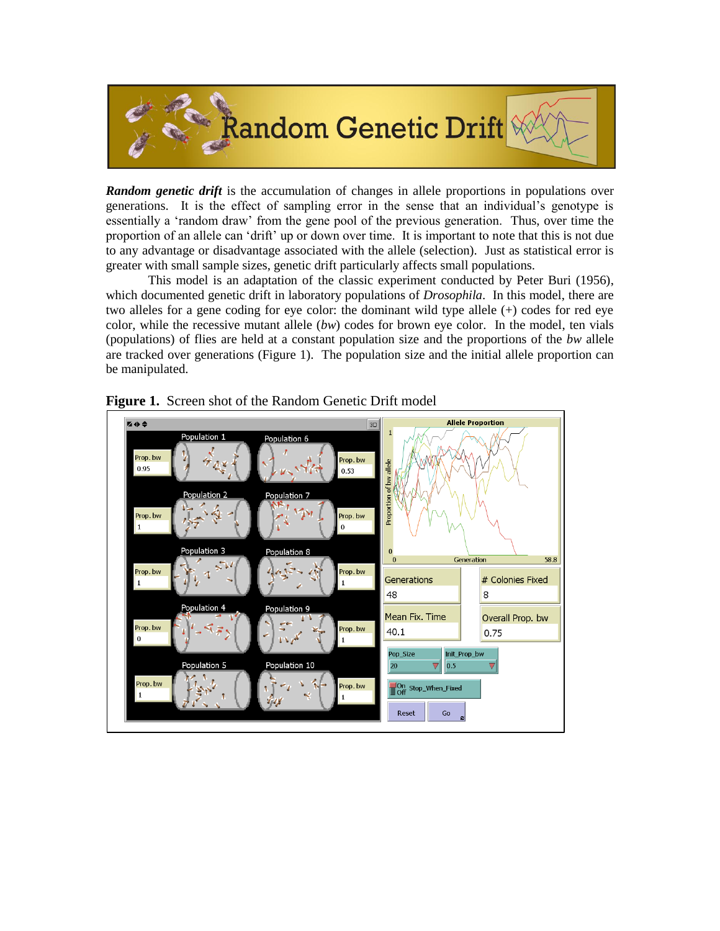

*Random genetic drift* is the accumulation of changes in allele proportions in populations over generations. It is the effect of sampling error in the sense that an individual's genotype is essentially a 'random draw' from the gene pool of the previous generation. Thus, over time the proportion of an allele can 'drift' up or down over time. It is important to note that this is not due to any advantage or disadvantage associated with the allele (selection). Just as statistical error is greater with small sample sizes, genetic drift particularly affects small populations.

This model is an adaptation of the classic experiment conducted by Peter Buri (1956), which documented genetic drift in laboratory populations of *Drosophila*. In this model, there are two alleles for a gene coding for eye color: the dominant wild type allele (+) codes for red eye color, while the recessive mutant allele (*bw*) codes for brown eye color. In the model, ten vials (populations) of flies are held at a constant population size and the proportions of the *bw* allele are tracked over generations (Figure 1). The population size and the initial allele proportion can be manipulated.



**Figure 1.** Screen shot of the Random Genetic Drift model